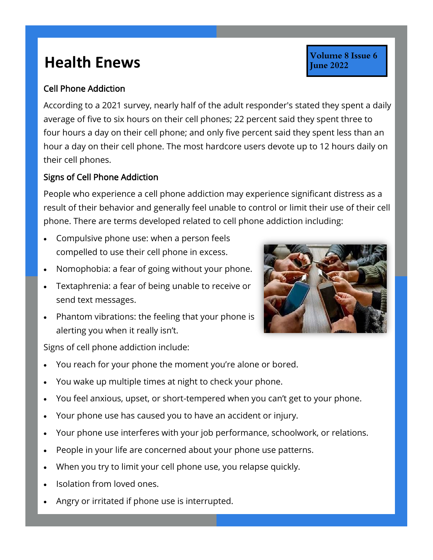## **Health Enews Health Enews**

## Cell Phone Addiction

According to a 2021 survey, nearly half of the adult responder's stated they spent a daily average of five to six hours on their cell phones; 22 percent said they spent three to four hours a day on their cell phone; and only five percent said they spent less than an hour a day on their cell phone. The most hardcore users devote up to 12 hours daily on their cell phones.

## Signs of Cell Phone Addiction

People who experience a cell phone addiction may experience significant distress as a result of their behavior and generally feel unable to control or limit their use of their cell phone. There are terms developed related to cell phone addiction including:

- Compulsive phone use: when a person feels compelled to use their cell phone in excess.
- Nomophobia: a fear of going without your phone.
- Textaphrenia: a fear of being unable to receive or send text messages.
- Phantom vibrations: the feeling that your phone is alerting you when it really isn't.

Volume 8 Issue 6

**June 2022** 

Signs of cell phone addiction include:

- You reach for your phone the moment you're alone or bored.
- You wake up multiple times at night to check your phone.
- You feel anxious, upset, or short-tempered when you can't get to your phone.
- Your phone use has caused you to have an accident or injury.
- Your phone use interferes with your job performance, schoolwork, or relations.
- People in your life are concerned about your phone use patterns.
- When you try to limit your cell phone use, you relapse quickly.
- Isolation from loved ones.
- Angry or irritated if phone use is interrupted.